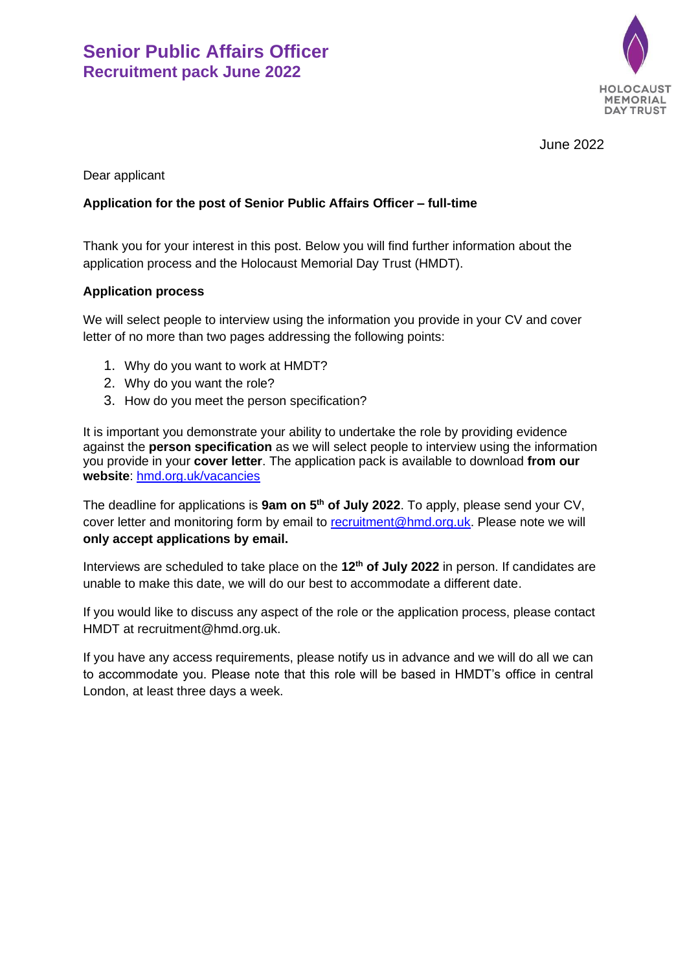

June 2022

Dear applicant

# **Application for the post of Senior Public Affairs Officer – full-time**

Thank you for your interest in this post. Below you will find further information about the application process and the Holocaust Memorial Day Trust (HMDT).

#### **Application process**

We will select people to interview using the information you provide in your CV and cover letter of no more than two pages addressing the following points:

- 1. Why do you want to work at HMDT?
- 2. Why do you want the role?
- 3. How do you meet the person specification?

It is important you demonstrate your ability to undertake the role by providing evidence against the **person specification** as we will select people to interview using the information you provide in your **cover letter**. The application pack is available to download **from our website**: [hmd.org.uk/vacancies](http://hmd.org.uk/page/vacancies)

The deadline for applications is **9am on 5 th of July 2022**. To apply, please send your CV, cover letter and monitoring form by email to [recruitment@hmd.org.uk.](mailto:recruitment@hmd.org.uk) Please note we will **only accept applications by email.**

Interviews are scheduled to take place on the **12th of July 2022** in person. If candidates are unable to make this date, we will do our best to accommodate a different date.

If you would like to discuss any aspect of the role or the application process, please contact HMDT at recruitment@hmd.org.uk.

If you have any access requirements, please notify us in advance and we will do all we can to accommodate you. Please note that this role will be based in HMDT's office in central London, at least three days a week.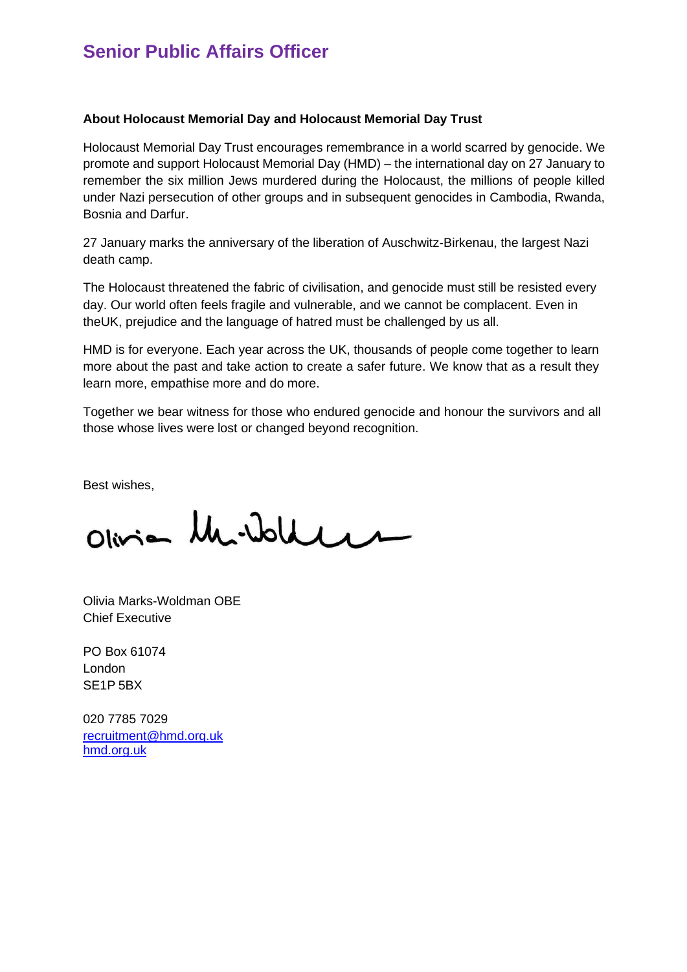# **Senior Public Affairs Officer**

#### **About Holocaust Memorial Day and Holocaust Memorial Day Trust**

Holocaust Memorial Day Trust encourages remembrance in a world scarred by genocide. We promote and support Holocaust Memorial Day (HMD) – the international day on 27 January to remember the six million Jews murdered during the Holocaust, the millions of people killed under Nazi persecution of other groups and in subsequent genocides in Cambodia, Rwanda, Bosnia and Darfur.

27 January marks the anniversary of the liberation of Auschwitz-Birkenau, the largest Nazi death camp.

The Holocaust threatened the fabric of civilisation, and genocide must still be resisted every day. Our world often feels fragile and vulnerable, and we cannot be complacent. Even in theUK, prejudice and the language of hatred must be challenged by us all.

HMD is for everyone. Each year across the UK, thousands of people come together to learn more about the past and take action to create a safer future. We know that as a result they learn more, empathise more and do more.

Together we bear witness for those who endured genocide and honour the survivors and all those whose lives were lost or changed beyond recognition.

Best wishes,

Olivian Mr. Wolden

Olivia Marks-Woldman OBE Chief Executive

PO Box 61074 London SE1P 5BX

020 7785 7029 [recruitment@hmd.org.uk](mailto:recruitment@hmd.org.uk) [hmd.org.uk](http://www.hmd.org.uk/)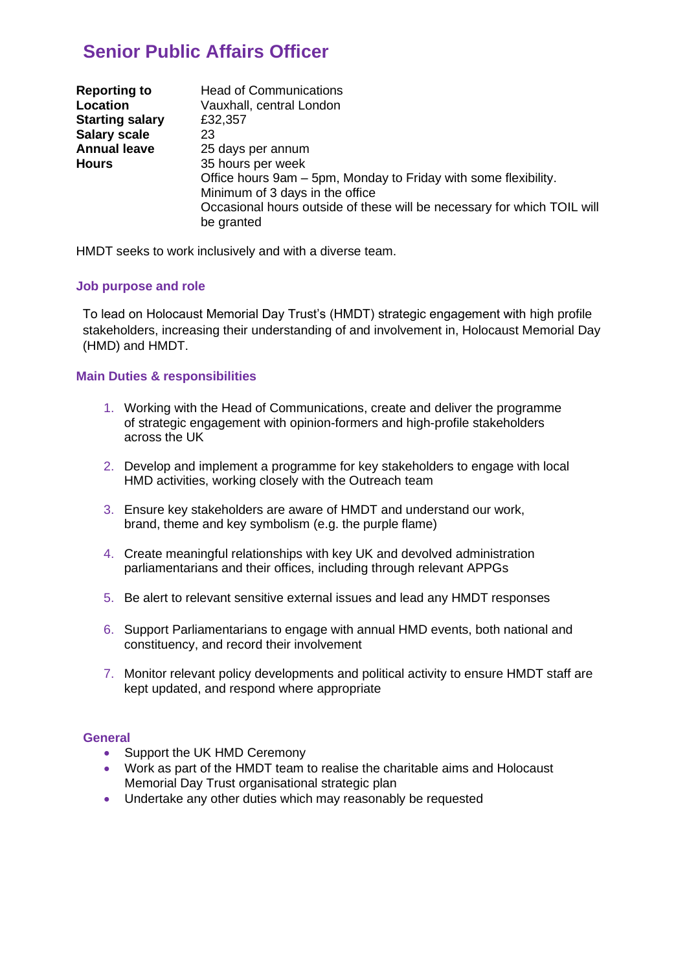# **Senior Public Affairs Officer**

| <b>Reporting to</b>    | <b>Head of Communications</b>                                           |
|------------------------|-------------------------------------------------------------------------|
| Location               | Vauxhall, central London                                                |
| <b>Starting salary</b> | £32,357                                                                 |
| <b>Salary scale</b>    | 23                                                                      |
| <b>Annual leave</b>    | 25 days per annum                                                       |
| <b>Hours</b>           | 35 hours per week                                                       |
|                        | Office hours 9am – 5pm, Monday to Friday with some flexibility.         |
|                        | Minimum of 3 days in the office                                         |
|                        | Occasional hours outside of these will be necessary for which TOIL will |
|                        | be granted                                                              |

HMDT seeks to work inclusively and with a diverse team.

### **Job purpose and role**

To lead on Holocaust Memorial Day Trust's (HMDT) strategic engagement with high profile stakeholders, increasing their understanding of and involvement in, Holocaust Memorial Day (HMD) and HMDT.

## **Main Duties & responsibilities**

- 1. Working with the Head of Communications, create and deliver the programme of strategic engagement with opinion-formers and high-profile stakeholders across the UK
- 2. Develop and implement a programme for key stakeholders to engage with local HMD activities, working closely with the Outreach team
- 3. Ensure key stakeholders are aware of HMDT and understand our work, brand, theme and key symbolism (e.g. the purple flame)
- 4. Create meaningful relationships with key UK and devolved administration parliamentarians and their offices, including through relevant APPGs
- 5. Be alert to relevant sensitive external issues and lead any HMDT responses
- 6. Support Parliamentarians to engage with annual HMD events, both national and constituency, and record their involvement
- 7. Monitor relevant policy developments and political activity to ensure HMDT staff are kept updated, and respond where appropriate

### **General**

- Support the UK HMD Ceremony
- Work as part of the HMDT team to realise the charitable aims and Holocaust Memorial Day Trust organisational strategic plan
- Undertake any other duties which may reasonably be requested